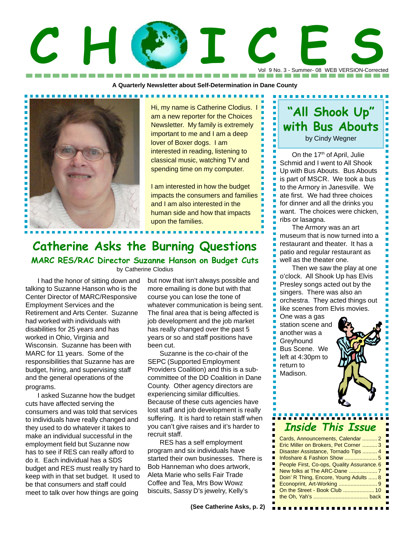# Vol 9 No. 3 - Summer- 08 WEB VERSION-Corrected C H C I C ON B NO. 3 - SUMMER-OR WEB VERSION-COrrecte

**A Quarterly Newsletter about Self-Determination in Dane County** ------------



Hi, my name is Catherine Clodius. I am a new reporter for the Choices Newsletter. My family is extremely important to me and I am a deep lover of Boxer dogs. I am interested in reading, listening to classical music, watching TV and spending time on my computer.

I am interested in how the budget impacts the consumers and families and I am also interested in the human side and how that impacts upon the families.

## **Catherine Asks the Burning Questions**

**MARC RES/RAC Director Suzanne Hanson on Budget Cuts** by Catherine Clodius

I had the honor of sitting down and talking to Suzanne Hanson who is the Center Director of MARC/Responsive Employment Services and the Retirement and Arts Center. Suzanne had worked with individuals with disabilities for 25 years and has worked in Ohio, Virginia and Wisconsin. Suzanne has been with MARC for 11 years. Some of the responsibilities that Suzanne has are budget, hiring, and supervising staff and the general operations of the programs.

I asked Suzanne how the budget cuts have affected serving the consumers and was told that services to individuals have really changed and they used to do whatever it takes to make an individual successful in the employment field but Suzanne now has to see if RES can really afford to do it. Each individual has a SDS budget and RES must really try hard to keep with in that set budget. It used to be that consumers and staff could meet to talk over how things are going

but now that isn't always possible and more emailing is done but with that course you can lose the tone of whatever communication is being sent. The final area that is being affected is job development and the job market has really changed over the past 5 years or so and staff positions have been cut.

Suzanne is the co-chair of the SEPC (Supported Employment Providers Coalition) and this is a subcommittee of the DD Coalition in Dane County. Other agency directors are experiencing similar difficulties. Because of these cuts agencies have lost staff and job development is really suffering. It is hard to retain staff when you can't give raises and it's harder to recruit staff.

RES has a self employment program and six individuals have started their own businesses. There is Bob Hanneman who does artwork, Aleta Marie who sells Fair Trade Coffee and Tea, Mrs Bow Wowz biscuits, Sassy D's jewelry, Kelly's

## **"All Shook Up" with Bus Abouts**

Ē.

н

г

г Н

Н Н

F

г

Н

г

by Cindy Wegner

On the 17<sup>th</sup> of April, Julie Schmid and I went to All Shook Up with Bus Abouts. Bus Abouts is part of MSCR. We took a bus to the Armory in Janesville. We ate first. We had three choices for dinner and all the drinks you want. The choices were chicken, ribs or lasagna.

The Armory was an art museum that is now turned into a restaurant and theater. It has a patio and regular restaurant as well as the theater one.

Then we saw the play at one o'clock. All Shook Up has Elvis Presley songs acted out by the singers. There was also an orchestra. They acted things out like scenes from Elvis movies.

One was a gas station scene and another was a **Greyhound** Bus Scene. We left at 4:30pm to return to Madison.



## **Inside This Issue**

| Cards, Announcements, Calendar  2          |
|--------------------------------------------|
| Eric Miller on Brokers, Pet Corner  3      |
| Disaster Assistance, Tornado Tips  4       |
|                                            |
| People First, Co-ops, Quality Assurance. 6 |
|                                            |
| Doin' R Thing, Encore, Young Adults  8     |
| Econoprint, Art-Working 9                  |
| On the Street - Book Club  10              |
|                                            |
|                                            |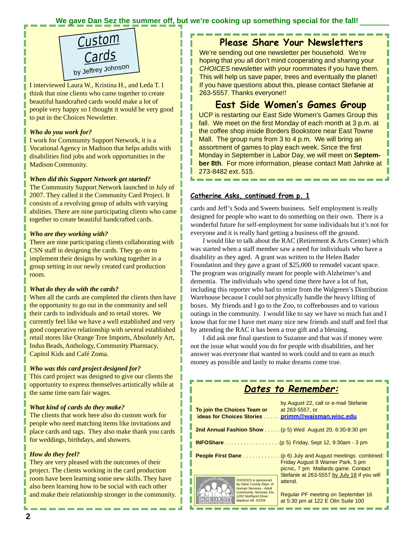### **We gave Dan Sez the summer off, but we're cooking up something special for the fall!**



I interviewed Laura W., Kristina H., and Leda T. I think that nine clients who came together to create beautiful handcrafted cards would make a lot of people very happy so I thought it would be very good to put in the Choices Newsletter.

### *Who do you work for?*

I work for Community Support Network, it is a Vocational Agency in Madison that helps adults with disabilities find jobs and work opportunities in the Madison Community.

### *When did this Support Network get started?*

The Community Support Network launched in July of 2007. They called it the Community Card Project. It consists of a revolving group of adults with varying abilities. There are nine participating clients who came together to create beautiful handcrafted cards.

### *Who are they working with?*

There are nine participating clients collaborating with CSN staff in designing the cards. They go on to implement their designs by working together in a group setting in our newly created card production room.

### *What do they do with the cards?*

When all the cards are completed the clients then have the opportunity to go out in the community and sell their cards to individuals and to retail stores. We currently feel like we have a well established and very good cooperative relationship with several established retail stores like Orange Tree Imports, Absolutely Art, Indus Beads, Anthology, Community Pharmacy, Capitol Kids and Café Zoma.

### *Who was this card project designed for?*

This card project was designed to give our clients the opportunity to express themselves artistically while at the same time earn fair wages.

### *What kind of cards do they make?*

The clients that work here also do custom work for people who need matching items like invitations and place cards and tags. They also make thank you cards for weddings, birthdays, and showers.

### *How do they feel?*

They are very pleased with the outcomes of their project. The clients working in the card production room have been learning some new skills. They have also been learning how to be social with each other and make their relationship stronger in the community.

### **Please Share Your Newsletters**

We're sending out one newsletter per household. We're hoping that you all don't mind cooperating and sharing your *CHOICES* newsletter with your roommates if you have them. This will help us save paper, trees and eventually the planet! If you have questions about this, please contact Stefanie at 263-5557. Thanks everyone!!

### **East Side Women's Games Group**

UCP is restarting our East Side Women's Games Group this fall. We meet on the first Monday of each month at 3 p.m. at the coffee shop inside Borders Bookstore near East Towne Mall. The group runs from 3 to 4 p.m. We will bring an assortment of games to play each week. Since the first Monday in September is Labor Day, we will meet on **September 8th**. For more information, please contact Matt Jahnke at 273-8482 ext. 515.

### **Catherine Asks, continued from p. 1**

cards and Jeff's Soda and Sweets business. Self employment is really designed for people who want to do something on their own. There is a wonderful future for self-employment for some individuals but it's not for everyone and it is really hard getting a business off the ground.

I would like to talk about the RAC (Retirement & Arts Center) which was started when a staff member saw a need for individuals who have a disability as they aged. A grant was written to the Helen Bader Foundation and they gave a grant of \$25,000 to remodel vacant space. The program was originally meant for people with Alzheimer's and dementia. The individuals who spend time there have a lot of fun, including this reporter who had to retire from the Walgreen's Distribution Warehouse because I could not physically handle the heavy lifting of boxes. My friends and I go to the Zoo, to coffeehouses and to various outings in the community. I would like to say we have so much fun and I know that for me I have met many nice new friends and staff and feel that by attending the RAC it has been a true gift and a blessing.

I did ask one final question to Suzanne and that was if money were not the issue what would you do for people with disabilities, and her answer was everyone that wanted to work could and to earn as much money as possible and lastly to make dreams come true.

|                                                                                                                                                                | Dates to Remember:                                                                                                                            |
|----------------------------------------------------------------------------------------------------------------------------------------------------------------|-----------------------------------------------------------------------------------------------------------------------------------------------|
| To join the Choices Team or<br>ideas for Choices Stories primm@waisman.wisc.edu                                                                                | by August 22, call or e-mail Stefanie<br>at 263-5557, or                                                                                      |
|                                                                                                                                                                | 2nd Annual Fashion Show  ( $p 5$ ) Wed August 20, 6:30-8:30 pm                                                                                |
|                                                                                                                                                                |                                                                                                                                               |
|                                                                                                                                                                | <b>People First Dane</b> (p 6) July and August meetings combined:<br>Friday August 8 Warner Park, 5 pm<br>picnic, 7 pm Mallards game. Contact |
| <b>CHOICES</b> is sponsored<br>by Dane County Dept. of<br>Human Services - Adult<br><b>Community Services Div.</b><br>1202 Northport Drive<br>Madison WI 53704 | Stefanie at 263-5557 by July 18 if you will<br>attend.<br>Regular PF meeting on September 16<br>at 5:30 pm at 122 E Olin Suite 100            |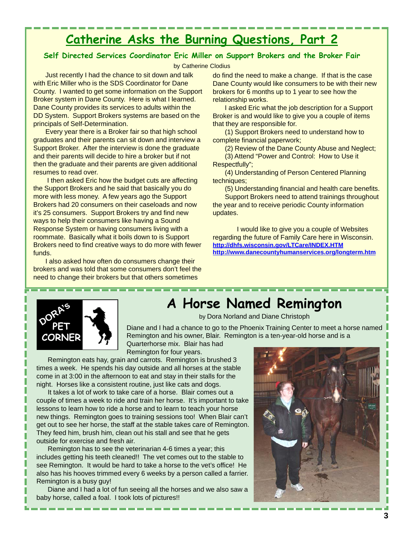## **Catherine Asks the Burning Questions, Part 2**

### **Self Directed Services Coordinator Eric Miller on Support Brokers and the Broker Fair**

by Catherine Clodius

Just recently I had the chance to sit down and talk with Eric Miller who is the SDS Coordinator for Dane County. I wanted to get some information on the Support Broker system in Dane County. Here is what I learned. Dane County provides its services to adults within the DD System. Support Brokers systems are based on the principals of Self-Determination.

Every year there is a Broker fair so that high school graduates and their parents can sit down and interview a Support Broker. After the interview is done the graduate and their parents will decide to hire a broker but if not then the graduate and their parents are given additional resumes to read over.

 I then asked Eric how the budget cuts are affecting the Support Brokers and he said that basically you do more with less money. A few years ago the Support Brokers had 20 consumers on their caseloads and now it's 25 consumers. Support Brokers try and find new ways to help their consumers like having a Sound Response System or having consumers living with a roommate. Basically what it boils down to is Support Brokers need to find creative ways to do more with fewer funds.

I also asked how often do consumers change their brokers and was told that some consumers don't feel the need to change their brokers but that others sometimes

do find the need to make a change. If that is the case Dane County would like consumers to be with their new brokers for 6 months up to 1 year to see how the relationship works.

I asked Eric what the job description for a Support Broker is and would like to give you a couple of items that they are responsible for.

(1) Support Brokers need to understand how to complete financial paperwork;

(2) Review of the Dane County Abuse and Neglect; (3) Attend "Power and Control: How to Use it Respectfully";

(4) Understanding of Person Centered Planning techniques;

(5) Understanding financial and health care benefits. Support Brokers need to attend trainings throughout the year and to receive periodic County information updates.

I would like to give you a couple of Websites regarding the future of Family Care here in Wisconsin. **http://dhfs.wisconsin.gov/LTCare/INDEX.HTM http://www.danecountyhumanservices.org/longterm.htm**



## **A Horse Named Remington**

by Dora Norland and Diane Christoph

Diane and I had a chance to go to the Phoenix Training Center to meet a horse named Remington and his owner, Blair. Remington is a ten-year-old horse and is a Quarterhorse mix. Blair has had

Remington for four years.

Remington eats hay, grain and carrots. Remington is brushed 3 times a week. He spends his day outside and all horses at the stable come in at 3:00 in the afternoon to eat and stay in their stalls for the night. Horses like a consistent routine, just like cats and dogs.

It takes a lot of work to take care of a horse. Blair comes out a couple of times a week to ride and train her horse. It's important to take lessons to learn how to ride a horse and to learn to teach your horse new things. Remington goes to training sessions too! When Blair can't get out to see her horse, the staff at the stable takes care of Remington. They feed him, brush him, clean out his stall and see that he gets outside for exercise and fresh air.

Remington has to see the veterinarian 4-6 times a year; this includes getting his teeth cleaned!! The vet comes out to the stable to see Remington. It would be hard to take a horse to the vet's office! He also has his hooves trimmed every 6 weeks by a person called a farrier. Remington is a busy guy!

Diane and I had a lot of fun seeing all the horses and we also saw a baby horse, called a foal. I took lots of pictures!!

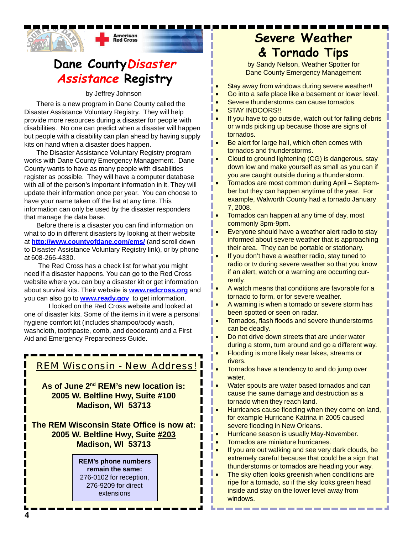

## **Dane CountyDisaster Assistance Registry**

by Jeffrey Johnson

There is a new program in Dane County called the Disaster Assistance Voluntary Registry. They will help provide more resources during a disaster for people with disabilities. No one can predict when a disaster will happen but people with a disability can plan ahead by having supply kits on hand when a disaster does happen.

The Disaster Assistance Voluntary Registry program works with Dane County Emergency Management. Dane County wants to have as many people with disabilities register as possible. They will have a computer database with all of the person's important information in it. They will update their information once per year. You can choose to have your name taken off the list at any time. This information can only be used by the disaster responders that manage the data base.

Before there is a disaster you can find information on what to do in different disasters by looking at their website at **http://www.countyofdane.com/ems/** (and scroll down to Disaster Assistance Voluntary Registry link), or by phone at 608-266-4330.

 The Red Cross has a check list for what you might need if a disaster happens. You can go to the Red Cross website where you can buy a disaster kit or get information about survival kits. Their website is **www.redcross.org** and you can also go to **www.ready.gov** to get information.

I looked on the Red Cross website and looked at one of disaster kits. Some of the items in it were a personal hygiene comfort kit (includes shampoo/body wash, washcloth, toothpaste, comb, and deodorant) and a First Aid and Emergency Preparedness Guide.

### REM Wisconsin - New Address!

**As of June 2nd REM's new location is: 2005 W. Beltline Hwy, Suite #100 Madison, WI 53713**

**The REM Wisconsin State Office is now at: 2005 W. Beltline Hwy, Suite #203 Madison, WI 53713**

> **REM's phone numbers remain the same:** 276-0102 for reception, 276-9209 for direct extensions

## **Severe Weather & Tornado Tips**

by Sandy Nelson, Weather Spotter for Dane County Emergency Management

- Stay away from windows during severe weather!!
- Go into a safe place like a basement or lower level.
- Severe thunderstorms can cause tornados.
- STAY INDOORS!!
- If you have to go outside, watch out for falling debris or winds picking up because those are signs of tornados.
- Be alert for large hail, which often comes with tornados and thunderstorms.
- Cloud to ground lightening (CG) is dangerous, stay down low and make yourself as small as you can if you are caught outside during a thunderstorm.
- Tornados are most common during April September but they can happen anytime of the year. For example, Walworth County had a tornado January 7, 2008.
- Tornados can happen at any time of day, most commonly 3pm-9pm.
- Everyone should have a weather alert radio to stay informed about severe weather that is approaching their area. They can be portable or stationary.
- If you don't have a weather radio, stay tuned to radio or tv during severe weather so that you know if an alert, watch or a warning are occurring currently.
- A watch means that conditions are favorable for a tornado to form, or for severe weather.
- A warning is when a tornado or severe storm has been spotted or seen on radar.
- Tornados, flash floods and severe thunderstorms can be deadly.
- Do not drive down streets that are under water during a storm, turn around and go a different way.
- Flooding is more likely near lakes, streams or rivers.
- Tornados have a tendency to and do jump over water.
- Water spouts are water based tornados and can cause the same damage and destruction as a tornado when they reach land.
- Hurricanes cause flooding when they come on land, for example Hurricane Katrina in 2005 caused severe flooding in New Orleans.
- Hurricane season is usually May-November.
- Tornados are miniature hurricanes.

I

- If you are out walking and see very dark clouds, be extremely careful because that could be a sign that thunderstorms or tornados are heading your way.
- The sky often looks greenish when conditions are ripe for a tornado, so if the sky looks green head inside and stay on the lower level away from windows.

the contract and contract the contract of the contract of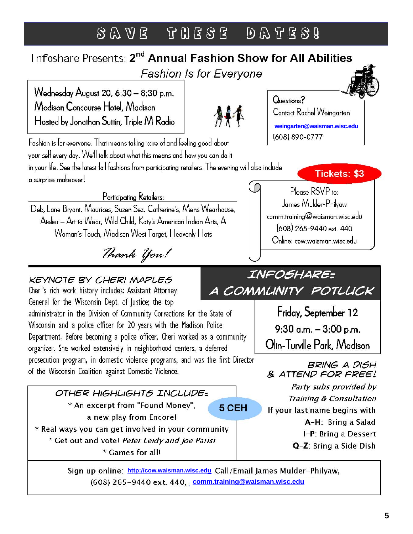## SAVE THESE DATES!

## Infoshare Presents: 2<sup>nd</sup> Annual Fashion Show for All Abilities **Fashion Is for Everyone**

Wednesday August 20, 6:30 - 8:30 p.m. Madison Concourse Hotel, Madison Hosted by Jonathan Suttin, Triple M Radio

Fashion is for everyone. That means taking care of and feeling good about your self every day. We'll talk about what this means and how you can do it in your life. See the latest fall fashions from participating retailers. The evening will also include a surprise makeover!

Participating Retailers:

Deb, Lane Brvant, Maurices, Suzen Sez, Catherine's, Mens Wearhouse, Atelier - Art to Wear, Wild Child, Katy's American Indian Arts, A Woman's Touch, Madison West Target, Heavenly Hats

Thank You!

**KEYNOTE BY CHERI MAPLES** 

A COMMUNITY POTLUCK Cheri's rich work history includes: Assistant Attorney General for the Wisconsin Dept. of Justice; the top administrator in the Division of Community Corrections for the State of Wisconsin and a police officer for 20 years with the Madison Police Department. Before becoming a police officer, Cheri worked as a community organizer. She worked extensively in neighborhood centers, a deferred prosecution program, in domestic violence programs, and was the first Director of the Wisconsin Coalition against Domestic Violence.

OTHER HIGHLIGHTS INCLUDE= \* An excerpt from "Found Money", 5 CEH a new play from Encore!

\* Real ways you can get involved in your community \* Get out and vote! Peter Leidy and Joe Parisi \* Games for all!

Friday, September 12 9:30 a.m.  $-3:00$  p.m. Olin-Turville Park, Madison **BRING A DISH** & ATTEND FOR FREE!

Party subs provided by **Training & Consultation** 

If your last name begins with

A-H: Bring a Salad

I-P: Bring a Dessert

Q-Z: Bring a Side Dish

Sign up online: http://cow.waisman.wisc.edu Call/Email James Mulder-Philyaw, (608) 265-9440 ext. 440, comm.training@waisman.wisc.edu



**weingarten@waisman.wisc.edu**(608) 890-0777

Contact Rachel Weingarten

Questions?

**Tickets: \$3** 

Please RSVP to: James Mulder-Philvaw comm.training@waisman.wisc.edu 608 265-9440 ext. 440 Online: cow.waisman.wisc.edu

INFOSHARE: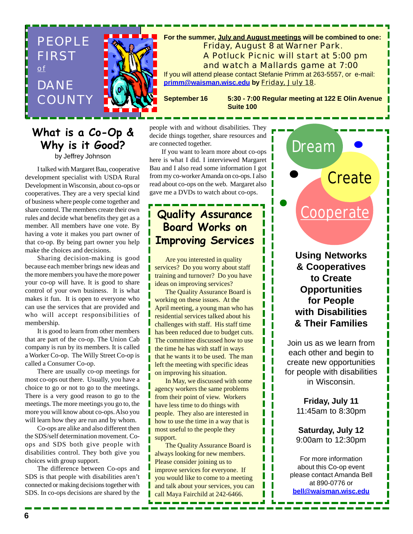

### **What is a Co-Op & Why is it Good?**

by Jeffrey Johnson

I talked with Margaret Bau, cooperative development specialist with USDA Rural Development in Wisconsin, about co-ops or cooperatives. They are a very special kind of business where people come together and share control. The members create their own rules and decide what benefits they get as a member. All members have one vote. By having a vote it makes you part owner of that co-op. By being part owner you help make the choices and decisions.

Sharing decision-making is good because each member brings new ideas and the more members you have the more power your co-op will have. It is good to share control of your own business. It is what makes it fun. It is open to everyone who can use the services that are provided and who will accept responsibilities of membership.

It is good to learn from other members that are part of the co-op. The Union Cab company is run by its members. It is called a Worker Co-op. The Willy Street Co-op is called a Consumer Co-op.

There are usually co-op meetings for most co-ops out there. Usually, you have a choice to go or not to go to the meetings. There is a very good reason to go to the meetings. The more meetings you go to, the more you will know about co-ops. Also you will learn how they are run and by whom.

Co-ops are alike and also different then the SDS/self determination movement. Coops and SDS both give people with disabilities control. They both give you choices with group support.

The difference between Co-ops and SDS is that people with disabilities aren't connected or making decisions together with SDS. In co-ops decisions are shared by the

people with and without disabilities. They decide things together, share resources and are connected together.

If you want to learn more about co-ops here is what I did. I interviewed Margaret Bau and I also read some information I got from my co-worker Amanda on co-ops. I also read about co-ops on the web. Margaret also gave me a DVDs to watch about co-ops.

### **Quality Assurance Board Works on Improving Services**

Are you interested in quality services? Do you worry about staff training and turnover? Do you have ideas on improving services?

The Quality Assurance Board is working on these issues. At the April meeting, a young man who has residential services talked about his challenges with staff. His staff time has been reduced due to budget cuts. The committee discussed how to use the time he has with staff in ways that he wants it to be used. The man left the meeting with specific ideas on improving his situation.

In May, we discussed with some agency workers the same problems from their point of view. Workers have less time to do things with people. They also are interested in how to use the time in a way that is most useful to the people they support.

The Quality Assurance Board is always looking for new members. Please consider joining us to improve services for everyone. If you would like to come to a meeting and talk about your services, you can call Maya Fairchild at 242-6466.

**Using Networks & Cooperatives to Create Opportunities for People with Disabilities & Their Families**

**Cooperate** 

Dream

**Create** 

Join us as we learn from each other and begin to create new opportunities for people with disabilities in Wisconsin.

> **Friday, July 11** 11:45am to 8:30pm

**Saturday, July 12** 9:00am to 12:30pm

For more information about this Co-op event please contact Amanda Bell at 890-0776 or **bell@waisman.wisc.edu**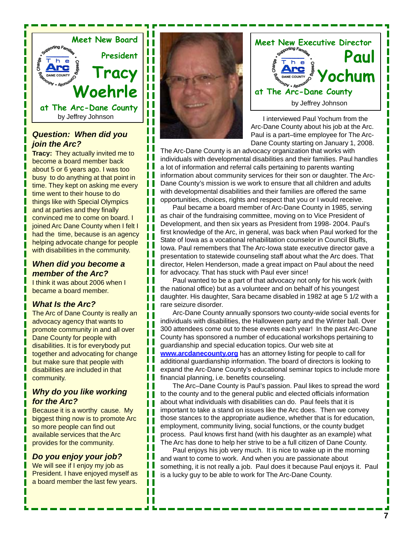

### *Question: When did you join the Arc?*

**Tracy:** They actually invited me to become a board member back about 5 or 6 years ago. I was too busy to do anything at that point in time. They kept on asking me every time went to their house to do things like with Special Olympics and at parties and they finally convinced me to come on board. I joined Arc Dane County when I felt I had the time, because is an agency helping advocate change for people with disabilities in the community.

### *When did you become a member of the Arc?*

I think it was about 2006 when I became a board member.

### *What Is the Arc?*

The Arc of Dane County is really an advocacy agency that wants to promote community in and all over Dane County for people with disabilities. It is for everybody put together and advocating for change but make sure that people with disabilities are included in that community.

### *Why do you like working for the Arc?*

Because it is a worthy cause. My biggest thing now is to promote Arc so more people can find out available services that the Arc provides for the community.

### *Do you enjoy your job?*

We will see if I enjoy my job as President. I have enjoyed myself as a board member the last few years.



Ш П ш Ш Ш ш ш П П П П П П П П П Ш П П Ш П ш П П Ш П Ш П П П П П П П Ш П Ш Ш П П П Ш



I interviewed Paul Yochum from the Arc-Dane County about his job at the Arc. Paul is a part–time employee for The Arc-Dane County starting on January 1, 2008.

The Arc-Dane County is an advocacy organization that works with individuals with developmental disabilities and their families. Paul handles a lot of information and referral calls pertaining to parents wanting information about community services for their son or daughter. The Arc-Dane County's mission is we work to ensure that all children and adults with developmental disabilities and their families are offered the same opportunities, choices, rights and respect that you or I would receive.

Paul became a board member of Arc-Dane County in 1985, serving as chair of the fundraising committee, moving on to Vice President of Development, and then six years as President from 1998- 2004. Paul's first knowledge of the Arc, in general, was back when Paul worked for the State of Iowa as a vocational rehabilitation counselor in Council Bluffs, Iowa. Paul remembers that The Arc-Iowa state executive director gave a presentation to statewide counseling staff about what the Arc does. That director, Helen Henderson, made a great impact on Paul about the need for advocacy. That has stuck with Paul ever since!

Paul wanted to be a part of that advocacy not only for his work (with the national office) but as a volunteer and on behalf of his youngest daughter. His daughter, Sara became disabled in 1982 at age 5 1/2 with a rare seizure disorder.

Arc-Dane County annually sponsors two county-wide social events for individuals with disabilities, the Halloween party and the Winter ball. Over 300 attendees come out to these events each year! In the past Arc-Dane County has sponsored a number of educational workshops pertaining to guardianship and special education topics. Our web site at **www.arcdanecounty.org** has an attorney listing for people to call for additional guardianship information. The board of directors is looking to expand the Arc-Dane County's educational seminar topics to include more financial planning, i.e. benefits counseling.

The Arc–Dane County is Paul's passion. Paul likes to spread the word to the county and to the general public and elected officials information about what individuals with disabilities can do. Paul feels that it is important to take a stand on issues like the Arc does. Then we convey those stances to the appropriate audience, whether that is for education, employment, community living, social functions, or the county budget process. Paul knows first hand (with his daughter as an example) what The Arc has done to help her strive to be a full citizen of Dane County.

Paul enjoys his job very much. It is nice to wake up in the morning and want to come to work. And when you are passionate about something, it is not really a job. Paul does it because Paul enjoys it. Paul is a lucky guy to be able to work for The Arc-Dane County.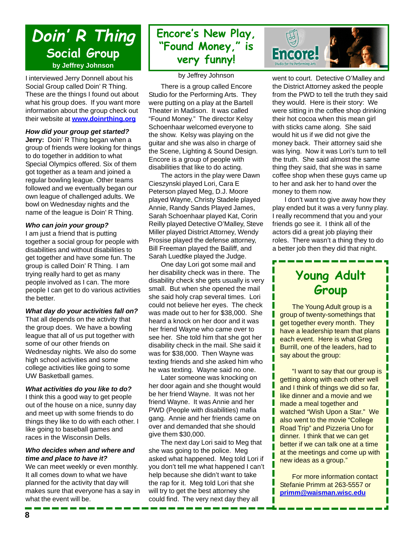## **Doin' R Thing Social Group by Jeffrey Johnson**

I interviewed Jerry Donnell about his Social Group called Doin' R Thing. These are the things I found out about what his group does. If you want more information about the group check out their website at **www.doinrthing.org**

### *How did your group get started?*

**Jerry:** Doin' R Thing began when a group of friends were looking for things to do together in addition to what Special Olympics offered. Six of them got together as a team and joined a regular bowling league. Other teams followed and we eventually began our own league of challenged adults. We bowl on Wednesday nights and the name of the league is Doin' R Thing.

### *Who can join your group?*

I am just a friend that is putting together a social group for people with disabilities and without disabilities to get together and have some fun. The group is called Doin' R Thing. I am trying really hard to get as many people involved as I can. The more people I can get to do various activities the better.

### *What day do your activities fall on?*

That all depends on the activity that the group does. We have a bowling league that all of us put together with some of our other friends on Wednesday nights. We also do some high school activities and some college activities like going to some UW Basketball games.

### *What activities do you like to do?*

I think this a good way to get people out of the house on a nice, sunny day and meet up with some friends to do things they like to do with each other. I like going to baseball games and races in the Wisconsin Dells.

### *Who decides when and where and time and place to have it?*

We can meet weekly or even monthly. It all comes down to what we have planned for the activity that day will makes sure that everyone has a say in what the event will be.

### **Encore's New Play, "Found Money," is very funny!**

by Jeffrey Johnson

There is a group called Encore Studio for the Performing Arts. They were putting on a play at the Bartell Theater in Madison. It was called "Found Money." The director Kelsy Schoenhaar welcomed everyone to the show. Kelsy was playing on the guitar and she was also in charge of the Scene, Lighting & Sound Design. Encore is a group of people with disabilities that like to do acting.

The actors in the play were Dawn Cieszynski played Lori, Cara E Peterson played Meg, D.J. Moore played Wayne, Christy Stadele played Annie, Randy Sands Played James, Sarah Schoenhaar played Kat, Corin Reilly played Detective O'Malley, Steve Miller played District Attorney, Wendy Prosise played the defense attorney, Bill Freeman played the Bailiff, and Sarah Luedtke played the Judge.

One day Lori got some mail and her disability check was in there. The disability check she gets usually is very small. But when she opened the mail she said holy crap several times. Lori could not believe her eyes. The check was made out to her for \$38,000. She heard a knock on her door and it was her friend Wayne who came over to see her. She told him that she got her disability check in the mail. She said it was for \$38,000. Then Wayne was texting friends and she asked him who he was texting. Wayne said no one.

Later someone was knocking on her door again and she thought would be her friend Wayne. It was not her friend Wayne. It was Annie and her PWD (People with disabilities) mafia gang. Annie and her friends came on over and demanded that she should give them \$30,000.

The next day Lori said to Meg that she was going to the police. Meg asked what happened. Meg told Lori if you don't tell me what happened I can't help because she didn't want to take the rap for it. Meg told Lori that she will try to get the best attorney she could find. The very next day they all



went to court. Detective O'Malley and the District Attorney asked the people from the PWD to tell the truth they said they would. Here is their story: We were sitting in the coffee shop drinking their hot cocoa when this mean girl with sticks came along. She said would hit us if we did not give the money back. Their attorney said she was lying. Now it was Lori's turn to tell the truth. She said almost the same thing they said, that she was in same coffee shop when these guys came up to her and ask her to hand over the money to them now.

I don't want to give away how they play ended but it was a very funny play. I really recommend that you and your friends go see it. I think all of the actors did a great job playing their roles. There wasn't a thing they to do a better job then they did that night.

## **Young Adult Group**

The Young Adult group is a group of twenty-somethings that get together every month. They have a leadership team that plans each event. Here is what Greg Burrill, one of the leaders, had to say about the group:

"I want to say that our group is getting along with each other well and I think of things we did so far, like dinner and a movie and we made a meal together and watched "Wish Upon a Star." We also went to the movie "College Road Trip" and Pizzeria Uno for dinner. I think that we can get better if we can talk one at a time at the meetings and come up with new ideas as a group."

For more information contact Stefanie Primm at 263-5557 or **primm@waisman.wisc.edu**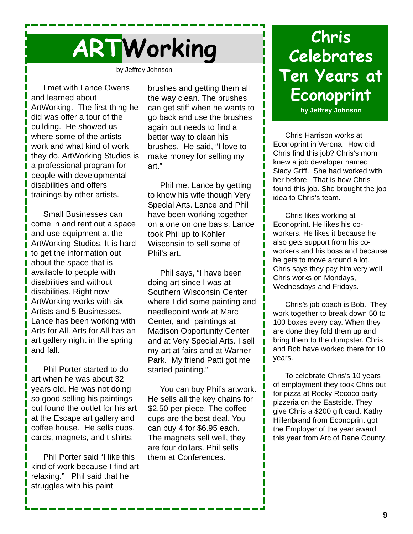

by Jeffrey Johnson

I met with Lance Owens and learned about ArtWorking. The first thing he did was offer a tour of the building. He showed us where some of the artists work and what kind of work they do. ArtWorking Studios is a professional program for people with developmental disabilities and offers trainings by other artists.

Small Businesses can come in and rent out a space and use equipment at the ArtWorking Studios. It is hard to get the information out about the space that is available to people with disabilities and without disabilities. Right now ArtWorking works with six Artists and 5 Businesses. Lance has been working with Arts for All. Arts for All has an art gallery night in the spring and fall.

Phil Porter started to do art when he was about 32 years old. He was not doing so good selling his paintings but found the outlet for his art at the Escape art gallery and coffee house. He sells cups, cards, magnets, and t-shirts.

Phil Porter said "I like this kind of work because I find art relaxing." Phil said that he struggles with his paint

brushes and getting them all the way clean. The brushes can get stiff when he wants to go back and use the brushes again but needs to find a better way to clean his brushes. He said, "I love to make money for selling my art."

Phil met Lance by getting to know his wife though Very Special Arts. Lance and Phil have been working together on a one on one basis. Lance took Phil up to Kohler Wisconsin to sell some of Phil's art.

Phil says, "I have been doing art since I was at Southern Wisconsin Center where I did some painting and needlepoint work at Marc Center, and paintings at Madison Opportunity Center and at Very Special Arts. I sell my art at fairs and at Warner Park. My friend Patti got me started painting."

You can buy Phil's artwork. He sells all the key chains for \$2.50 per piece. The coffee cups are the best deal. You can buy 4 for \$6.95 each. The magnets sell well, they are four dollars. Phil sells them at Conferences.

## **Chris Celebrates Ten Years at Econoprint**

**by Jeffrey Johnson**

Chris Harrison works at Econoprint in Verona. How did Chris find this job? Chris's mom knew a job developer named Stacy Griff. She had worked with her before. That is how Chris found this job. She brought the job idea to Chris's team.

Chris likes working at Econoprint. He likes his coworkers. He likes it because he also gets support from his coworkers and his boss and because he gets to move around a lot. Chris says they pay him very well. Chris works on Mondays, Wednesdays and Fridays.

Chris's job coach is Bob. They work together to break down 50 to 100 boxes every day. When they are done they fold them up and bring them to the dumpster. Chris and Bob have worked there for 10 years.

To celebrate Chris's 10 years of employment they took Chris out for pizza at Rocky Rococo party pizzeria on the Eastside. They give Chris a \$200 gift card. Kathy Hillenbrand from Econoprint got the Employer of the year award this year from Arc of Dane County.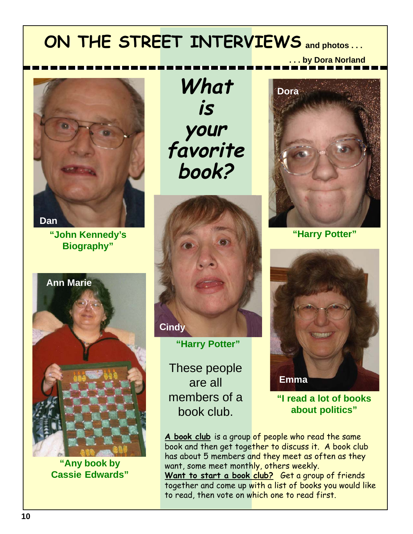## **ON THE STREET INTERVIEWS and photos . . .**



**"John Kennedy's Biography"**



**"Any book by Cassie Edwards"**

**What is your favorite book?**



**"Harry Potter"**

These people are all members of a book club.



**. . . by Dora Norland**

**"Harry Potter"**



**"I read a lot of books about politics"**

**A book club** is a group of people who read the same book and then get together to discuss it. A book club has about 5 members and they meet as often as they want, some meet monthly, others weekly. Want to start a book club? Get a group of friends together and come up with a list of books you would like to read, then vote on which one to read first.